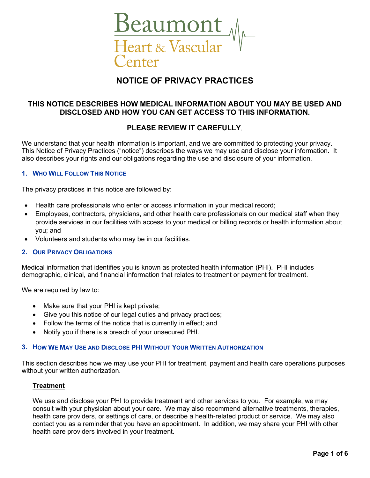

# **NOTICE OF PRIVACY PRACTICES**

# **THIS NOTICE DESCRIBES HOW MEDICAL INFORMATION ABOUT YOU MAY BE USED AND DISCLOSED AND HOW YOU CAN GET ACCESS TO THIS INFORMATION.**

# **PLEASE REVIEW IT CAREFULLY**.

We understand that your health information is important, and we are committed to protecting your privacy. This Notice of Privacy Practices ("notice") describes the ways we may use and disclose your information. It also describes your rights and our obligations regarding the use and disclosure of your information.

### **1. WHO WILL FOLLOW THIS NOTICE**

The privacy practices in this notice are followed by:

- Health care professionals who enter or access information in your medical record;
- Employees, contractors, physicians, and other health care professionals on our medical staff when they provide services in our facilities with access to your medical or billing records or health information about you; and
- Volunteers and students who may be in our facilities.

### **2. OUR PRIVACY OBLIGATIONS**

Medical information that identifies you is known as protected health information (PHI). PHI includes demographic, clinical, and financial information that relates to treatment or payment for treatment.

We are required by law to:

- Make sure that your PHI is kept private;
- Give you this notice of our legal duties and privacy practices;
- Follow the terms of the notice that is currently in effect; and
- Notify you if there is a breach of your unsecured PHI.

#### **3. HOW WE MAY USE AND DISCLOSE PHI WITHOUT YOUR WRITTEN AUTHORIZATION**

This section describes how we may use your PHI for treatment, payment and health care operations purposes without your written authorization.

### **Treatment**

We use and disclose your PHI to provide treatment and other services to you. For example, we may consult with your physician about your care. We may also recommend alternative treatments, therapies, health care providers, or settings of care, or describe a health-related product or service. We may also contact you as a reminder that you have an appointment. In addition, we may share your PHI with other health care providers involved in your treatment.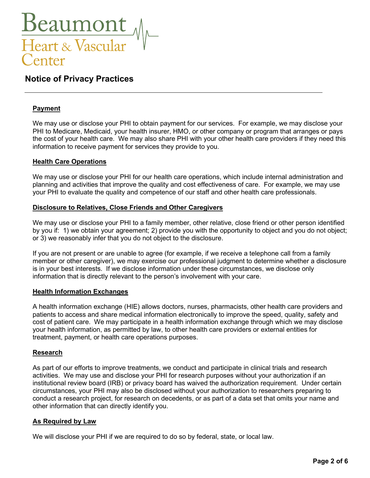

# **Payment**

We may use or disclose your PHI to obtain payment for our services. For example, we may disclose your PHI to Medicare, Medicaid, your health insurer, HMO, or other company or program that arranges or pays the cost of your health care. We may also share PHI with your other health care providers if they need this information to receive payment for services they provide to you.

# **Health Care Operations**

We may use or disclose your PHI for our health care operations, which include internal administration and planning and activities that improve the quality and cost effectiveness of care. For example, we may use your PHI to evaluate the quality and competence of our staff and other health care professionals.

# **Disclosure to Relatives, Close Friends and Other Caregivers**

We may use or disclose your PHI to a family member, other relative, close friend or other person identified by you if: 1) we obtain your agreement; 2) provide you with the opportunity to object and you do not object; or 3) we reasonably infer that you do not object to the disclosure.

If you are not present or are unable to agree (for example, if we receive a telephone call from a family member or other caregiver), we may exercise our professional judgment to determine whether a disclosure is in your best interests. If we disclose information under these circumstances, we disclose only information that is directly relevant to the person's involvement with your care.

### **Health Information Exchanges**

A health information exchange (HIE) allows doctors, nurses, pharmacists, other health care providers and patients to access and share medical information electronically to improve the speed, quality, safety and cost of patient care. We may participate in a health information exchange through which we may disclose your health information, as permitted by law, to other health care providers or external entities for treatment, payment, or health care operations purposes.

# **Research**

As part of our efforts to improve treatments, we conduct and participate in clinical trials and research activities. We may use and disclose your PHI for research purposes without your authorization if an institutional review board (IRB) or privacy board has waived the authorization requirement. Under certain circumstances, your PHI may also be disclosed without your authorization to researchers preparing to conduct a research project, for research on decedents, or as part of a data set that omits your name and other information that can directly identify you.

# **As Required by Law**

We will disclose your PHI if we are required to do so by federal, state, or local law.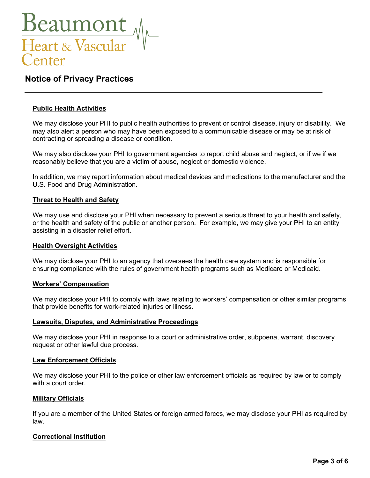

# **Public Health Activities**

We may disclose your PHI to public health authorities to prevent or control disease, injury or disability. We may also alert a person who may have been exposed to a communicable disease or may be at risk of contracting or spreading a disease or condition.

We may also disclose your PHI to government agencies to report child abuse and neglect, or if we if we reasonably believe that you are a victim of abuse, neglect or domestic violence.

In addition, we may report information about medical devices and medications to the manufacturer and the U.S. Food and Drug Administration.

### **Threat to Health and Safety**

We may use and disclose your PHI when necessary to prevent a serious threat to your health and safety, or the health and safety of the public or another person. For example, we may give your PHI to an entity assisting in a disaster relief effort.

### **Health Oversight Activities**

We may disclose your PHI to an agency that oversees the health care system and is responsible for ensuring compliance with the rules of government health programs such as Medicare or Medicaid.

### **Workers' Compensation**

We may disclose your PHI to comply with laws relating to workers' compensation or other similar programs that provide benefits for work-related injuries or illness.

### **Lawsuits, Disputes, and Administrative Proceedings**

We may disclose your PHI in response to a court or administrative order, subpoena, warrant, discovery request or other lawful due process.

### **Law Enforcement Officials**

We may disclose your PHI to the police or other law enforcement officials as required by law or to comply with a court order.

### **Military Officials**

If you are a member of the United States or foreign armed forces, we may disclose your PHI as required by law.

# **Correctional Institution**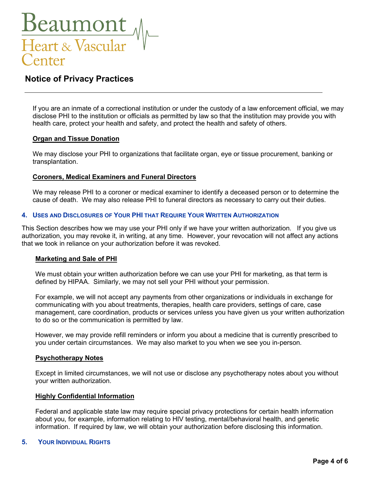

If you are an inmate of a correctional institution or under the custody of a law enforcement official, we may disclose PHI to the institution or officials as permitted by law so that the institution may provide you with health care, protect your health and safety, and protect the health and safety of others.

# **Organ and Tissue Donation**

We may disclose your PHI to organizations that facilitate organ, eye or tissue procurement, banking or transplantation.

# **Coroners, Medical Examiners and Funeral Directors**

We may release PHI to a coroner or medical examiner to identify a deceased person or to determine the cause of death. We may also release PHI to funeral directors as necessary to carry out their duties.

### **4. USES AND DISCLOSURES OF YOUR PHI THAT REQUIRE YOUR WRITTEN AUTHORIZATION**

This Section describes how we may use your PHI only if we have your written authorization. If you give us authorization, you may revoke it, in writing, at any time. However, your revocation will not affect any actions that we took in reliance on your authorization before it was revoked.

### **Marketing and Sale of PHI**

We must obtain your written authorization before we can use your PHI for marketing, as that term is defined by HIPAA. Similarly, we may not sell your PHI without your permission.

For example, we will not accept any payments from other organizations or individuals in exchange for communicating with you about treatments, therapies, health care providers, settings of care, case management, care coordination, products or services unless you have given us your written authorization to do so or the communication is permitted by law.

However, we may provide refill reminders or inform you about a medicine that is currently prescribed to you under certain circumstances. We may also market to you when we see you in-person.

### **Psychotherapy Notes**

Except in limited circumstances, we will not use or disclose any psychotherapy notes about you without your written authorization.

### **Highly Confidential Information**

Federal and applicable state law may require special privacy protections for certain health information about you, for example, information relating to HIV testing, mental/behavioral health, and genetic information. If required by law, we will obtain your authorization before disclosing this information.

# **5. YOUR INDIVIDUAL RIGHTS**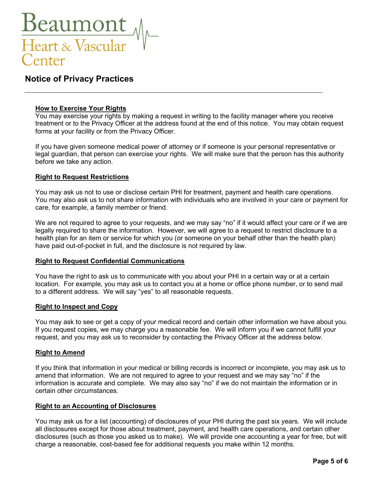

# **How to Exercise Your Rights**

You may exercise your rights by making a request in writing to the facility manager where you receive treatment or to the Privacy Officer at the address found at the end of this notice. You may obtain request forms at your facility or from the Privacy Officer.

If you have given someone medical power of attorney or if someone is your personal representative or legal guardian, that person can exercise your rights. We will make sure that the person has this authority before we take any action.

### **Right to Request Restrictions**

You may ask us not to use or disclose certain PHI for treatment, payment and health care operations. You may also ask us to not share information with individuals who are involved in your care or payment for care, for example, a family member or friend.

We are not required to agree to your requests, and we may say "no" if it would affect your care or if we are legally required to share the information. However, we will agree to a request to restrict disclosure to a health plan for an item or service for which you (or someone on your behalf other than the health plan) have paid out-of-pocket in full, and the disclosure is not required by law.

### **Right to Request Confidential Communications**

You have the right to ask us to communicate with you about your PHI in a certain way or at a certain location. For example, you may ask us to contact you at a home or office phone number, or to send mail to a different address. We will say "yes" to all reasonable requests.

### **Right to Inspect and Copy**

You may ask to see or get a copy of your medical record and certain other information we have about you. If you request copies, we may charge you a reasonable fee. We will inform you if we cannot fulfill your request, and you may ask us to reconsider by contacting the Privacy Officer at the address below.

# **Right to Amend**

If you think that information in your medical or billing records is incorrect or incomplete, you may ask us to amend that information. We are not required to agree to your request and we may say "no" if the information is accurate and complete. We may also say "no" if we do not maintain the information or in certain other circumstances.

### **Right to an Accounting of Disclosures**

You may ask us for a list (accounting) of disclosures of your PHI during the past six years. We will include all disclosures except for those about treatment, payment, and health care operations, and certain other disclosures (such as those you asked us to make). We will provide one accounting a year for free, but will charge a reasonable, cost-based fee for additional requests you make within 12 months.